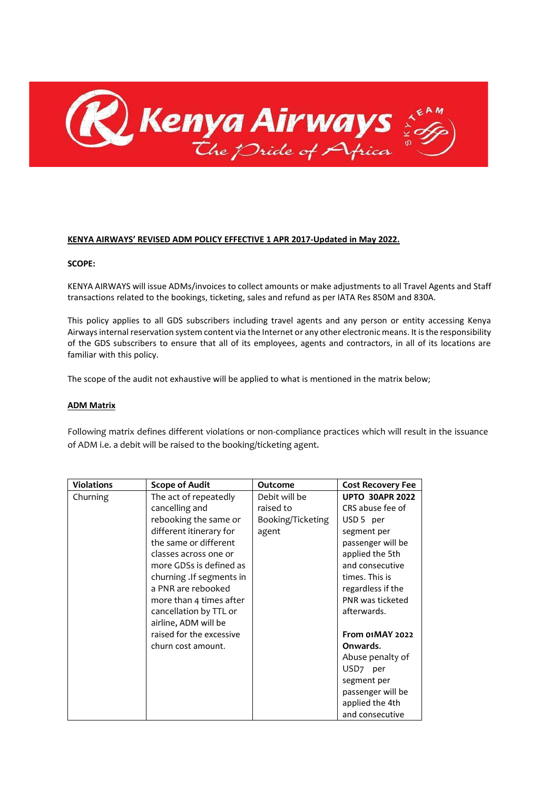

#### **KENYA AIRWAYS' REVISED ADM POLICY EFFECTIVE 1 APR 2017-Updated in May 2022.**

#### **SCOPE:**

KENYA AIRWAYS will issue ADMs/invoices to collect amounts or make adjustments to all Travel Agents and Staff transactions related to the bookings, ticketing, sales and refund as per IATA Res 850M and 830A.

This policy applies to all GDS subscribers including travel agents and any person or entity accessing Kenya Airways internal reservation system content via the Internet or any other electronic means. It is the responsibility of the GDS subscribers to ensure that all of its employees, agents and contractors, in all of its locations are familiar with this policy.

The scope of the audit not exhaustive will be applied to what is mentioned in the matrix below;

#### **ADM Matrix**

Following matrix defines different violations or non-compliance practices which will result in the issuance of ADM i.e. a debit will be raised to the booking/ticketing agent.

| <b>Violations</b> | <b>Scope of Audit</b>     | Outcome           | <b>Cost Recovery Fee</b> |
|-------------------|---------------------------|-------------------|--------------------------|
| Churning          | The act of repeatedly     | Debit will be     | <b>UPTO 30APR 2022</b>   |
|                   | cancelling and            | raised to         | CRS abuse fee of         |
|                   | rebooking the same or     | Booking/Ticketing | USD 5 per                |
|                   | different itinerary for   | agent             | segment per              |
|                   | the same or different     |                   | passenger will be        |
|                   | classes across one or     |                   | applied the 5th          |
|                   | more GDSs is defined as   |                   | and consecutive          |
|                   | churning . If segments in |                   | times. This is           |
|                   | a PNR are rebooked        |                   | regardless if the        |
|                   | more than 4 times after   |                   | PNR was ticketed         |
|                   | cancellation by TTL or    |                   | afterwards.              |
|                   | airline, ADM will be      |                   |                          |
|                   | raised for the excessive  |                   | <b>From 01MAY 2022</b>   |
|                   | churn cost amount.        |                   | Onwards.                 |
|                   |                           |                   | Abuse penalty of         |
|                   |                           |                   | USD <sub>7</sub> per     |
|                   |                           |                   | segment per              |
|                   |                           |                   | passenger will be        |
|                   |                           |                   | applied the 4th          |
|                   |                           |                   | and consecutive          |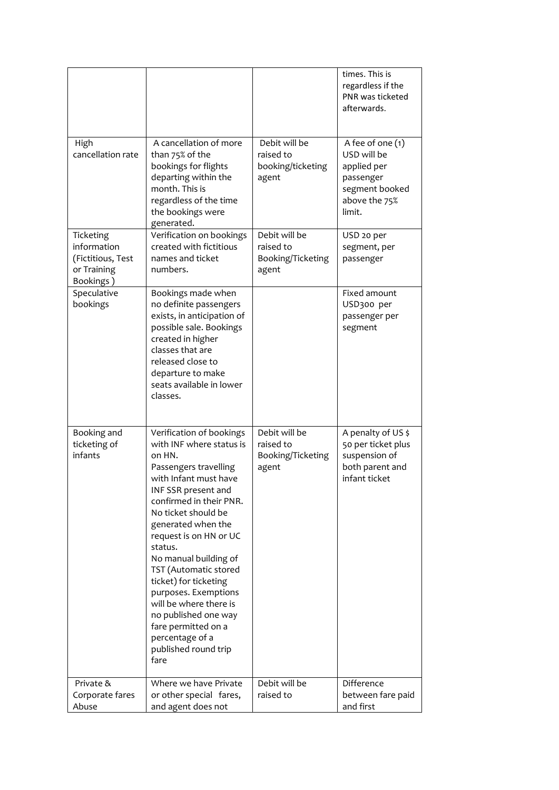|                                                                           |                                                                                                                                                                                                                                                                                                                                                                                                                                                                                     |                                                          | times. This is<br>regardless if the<br>PNR was ticketed<br>afterwards.                                   |
|---------------------------------------------------------------------------|-------------------------------------------------------------------------------------------------------------------------------------------------------------------------------------------------------------------------------------------------------------------------------------------------------------------------------------------------------------------------------------------------------------------------------------------------------------------------------------|----------------------------------------------------------|----------------------------------------------------------------------------------------------------------|
| High<br>cancellation rate                                                 | A cancellation of more<br>than 75% of the<br>bookings for flights<br>departing within the<br>month. This is<br>regardless of the time<br>the bookings were<br>generated.                                                                                                                                                                                                                                                                                                            | Debit will be<br>raised to<br>booking/ticketing<br>agent | A fee of one (1)<br>USD will be<br>applied per<br>passenger<br>segment booked<br>above the 75%<br>limit. |
| Ticketing<br>information<br>(Fictitious, Test<br>or Training<br>Bookings) | Verification on bookings<br>created with fictitious<br>names and ticket<br>numbers.                                                                                                                                                                                                                                                                                                                                                                                                 | Debit will be<br>raised to<br>Booking/Ticketing<br>agent | USD 20 per<br>segment, per<br>passenger                                                                  |
| Speculative<br>bookings                                                   | Bookings made when<br>no definite passengers<br>exists, in anticipation of<br>possible sale. Bookings<br>created in higher<br>classes that are<br>released close to<br>departure to make<br>seats available in lower<br>classes.                                                                                                                                                                                                                                                    |                                                          | Fixed amount<br>USD300 per<br>passenger per<br>segment                                                   |
| Booking and<br>ticketing of<br>infants                                    | Verification of bookings<br>with INF where status is<br>on HN.<br>Passengers travelling<br>with Infant must have<br>INF SSR present and<br>confirmed in their PNR.<br>No ticket should be<br>generated when the<br>request is on HN or UC<br>status.<br>No manual building of<br>TST (Automatic stored<br>ticket) for ticketing<br>purposes. Exemptions<br>will be where there is<br>no published one way<br>fare permitted on a<br>percentage of a<br>published round trip<br>fare | Debit will be<br>raised to<br>Booking/Ticketing<br>agent | A penalty of US \$<br>50 per ticket plus<br>suspension of<br>both parent and<br>infant ticket            |
| Private &<br>Corporate fares                                              | Where we have Private<br>or other special fares,                                                                                                                                                                                                                                                                                                                                                                                                                                    | Debit will be<br>raised to                               | Difference<br>between fare paid                                                                          |
| Abuse                                                                     | and agent does not                                                                                                                                                                                                                                                                                                                                                                                                                                                                  |                                                          | and first                                                                                                |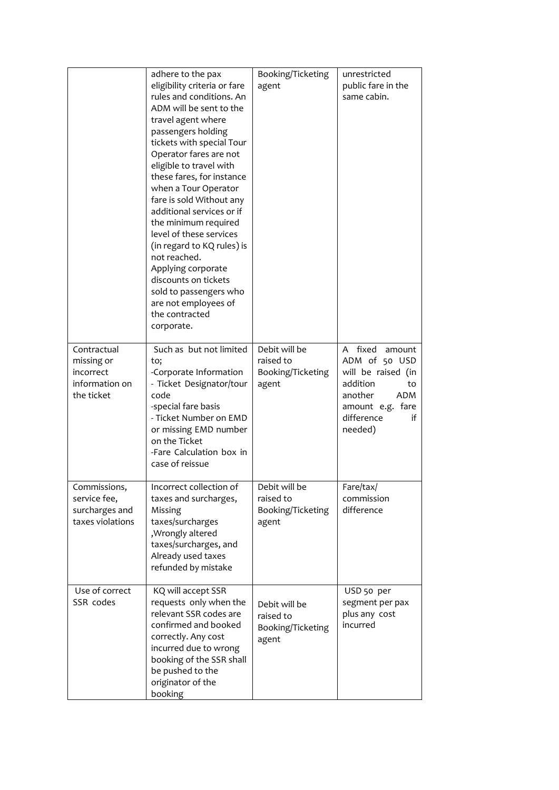|                                                                        | adhere to the pax<br>eligibility criteria or fare<br>rules and conditions. An<br>ADM will be sent to the<br>travel agent where<br>passengers holding<br>tickets with special Tour<br>Operator fares are not<br>eligible to travel with<br>these fares, for instance<br>when a Tour Operator<br>fare is sold Without any<br>additional services or if<br>the minimum required<br>level of these services<br>(in regard to KQ rules) is<br>not reached.<br>Applying corporate<br>discounts on tickets<br>sold to passengers who<br>are not employees of<br>the contracted<br>corporate. | Booking/Ticketing<br>agent                               | unrestricted<br>public fare in the<br>same cabin.                                                                                                  |
|------------------------------------------------------------------------|---------------------------------------------------------------------------------------------------------------------------------------------------------------------------------------------------------------------------------------------------------------------------------------------------------------------------------------------------------------------------------------------------------------------------------------------------------------------------------------------------------------------------------------------------------------------------------------|----------------------------------------------------------|----------------------------------------------------------------------------------------------------------------------------------------------------|
| Contractual<br>missing or<br>incorrect<br>information on<br>the ticket | Such as but not limited<br>to;<br>-Corporate Information<br>- Ticket Designator/tour<br>code<br>-special fare basis<br>- Ticket Number on EMD<br>or missing EMD number<br>on the Ticket<br>-Fare Calculation box in<br>case of reissue                                                                                                                                                                                                                                                                                                                                                | Debit will be<br>raised to<br>Booking/Ticketing<br>agent | fixed<br>A<br>amount<br>ADM of 50 USD<br>will be raised (in<br>addition<br>to<br>another<br>ADM<br>amount e.g. fare<br>difference<br>if<br>needed) |
| Commissions,<br>service fee,<br>surcharges and<br>taxes violations     | Incorrect collection of<br>taxes and surcharges,<br>Missing<br>taxes/surcharges<br>, Wrongly altered<br>taxes/surcharges, and<br>Already used taxes<br>refunded by mistake                                                                                                                                                                                                                                                                                                                                                                                                            | Debit will be<br>raised to<br>Booking/Ticketing<br>agent | Fare/tax/<br>commission<br>difference                                                                                                              |
| Use of correct<br>SSR codes                                            | KQ will accept SSR<br>requests only when the<br>relevant SSR codes are<br>confirmed and booked<br>correctly. Any cost<br>incurred due to wrong<br>booking of the SSR shall<br>be pushed to the<br>originator of the<br>booking                                                                                                                                                                                                                                                                                                                                                        | Debit will be<br>raised to<br>Booking/Ticketing<br>agent | USD 50 per<br>segment per pax<br>plus any cost<br>incurred                                                                                         |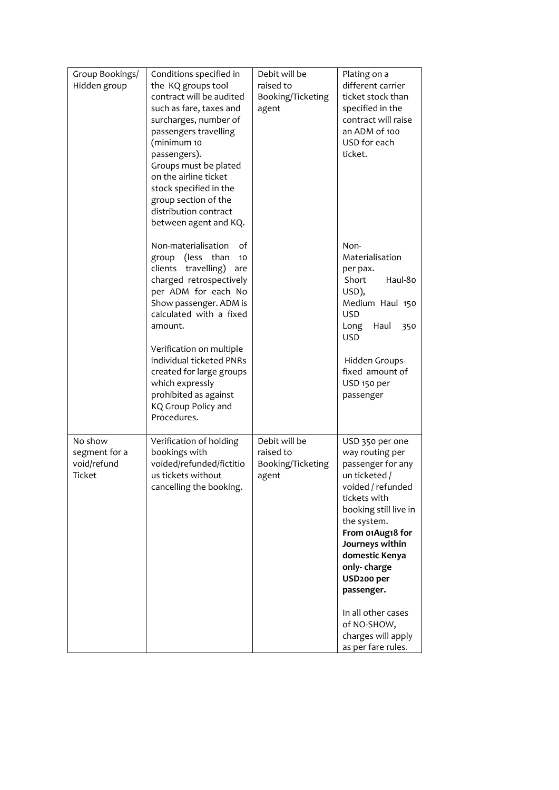| Group Bookings/ | Conditions specified in                        | Debit will be     | Plating on a              |
|-----------------|------------------------------------------------|-------------------|---------------------------|
| Hidden group    | the KQ groups tool                             | raised to         | different carrier         |
|                 | contract will be audited                       | Booking/Ticketing | ticket stock than         |
|                 | such as fare, taxes and                        | agent             | specified in the          |
|                 | surcharges, number of                          |                   | contract will raise       |
|                 | passengers travelling                          |                   | an ADM of 100             |
|                 | (minimum 10                                    |                   | USD for each              |
|                 | passengers).                                   |                   | ticket.                   |
|                 | Groups must be plated                          |                   |                           |
|                 | on the airline ticket                          |                   |                           |
|                 | stock specified in the<br>group section of the |                   |                           |
|                 | distribution contract                          |                   |                           |
|                 | between agent and KQ.                          |                   |                           |
|                 |                                                |                   |                           |
|                 | Non-materialisation<br>of                      |                   | Non-                      |
|                 | (less than<br>group<br>10                      |                   | Materialisation           |
|                 | travelling)<br>clients<br>are                  |                   | per pax.                  |
|                 | charged retrospectively                        |                   | Short<br>Haul-80<br>USD), |
|                 | per ADM for each No<br>Show passenger. ADM is  |                   | Medium Haul 150           |
|                 | calculated with a fixed                        |                   | <b>USD</b>                |
|                 | amount.                                        |                   | Long<br>Haul<br>350       |
|                 |                                                |                   | <b>USD</b>                |
|                 | Verification on multiple                       |                   |                           |
|                 | individual ticketed PNRs                       |                   | Hidden Groups-            |
|                 | created for large groups                       |                   | fixed amount of           |
|                 | which expressly                                |                   | USD 150 per               |
|                 | prohibited as against                          |                   | passenger                 |
|                 | KQ Group Policy and                            |                   |                           |
|                 | Procedures.                                    |                   |                           |
| No show         | Verification of holding                        | Debit will be     | USD 350 per one           |
| segment for a   | bookings with                                  | raised to         | way routing per           |
| void/refund     | voided/refunded/fictitio                       | Booking/Ticketing | passenger for any         |
| Ticket          | us tickets without                             | agent             | un ticketed /             |
|                 | cancelling the booking.                        |                   | voided / refunded         |
|                 |                                                |                   | tickets with              |
|                 |                                                |                   | booking still live in     |
|                 |                                                |                   | the system.               |
|                 |                                                |                   | From 01Aug18 for          |
|                 |                                                |                   | Journeys within           |
|                 |                                                |                   | domestic Kenya            |
|                 |                                                |                   | only-charge               |
|                 |                                                |                   | USD <sub>200</sub> per    |
|                 |                                                |                   | passenger.                |
|                 |                                                |                   | In all other cases        |
|                 |                                                |                   | of NO-SHOW,               |
|                 |                                                |                   | charges will apply        |
|                 |                                                |                   | as per fare rules.        |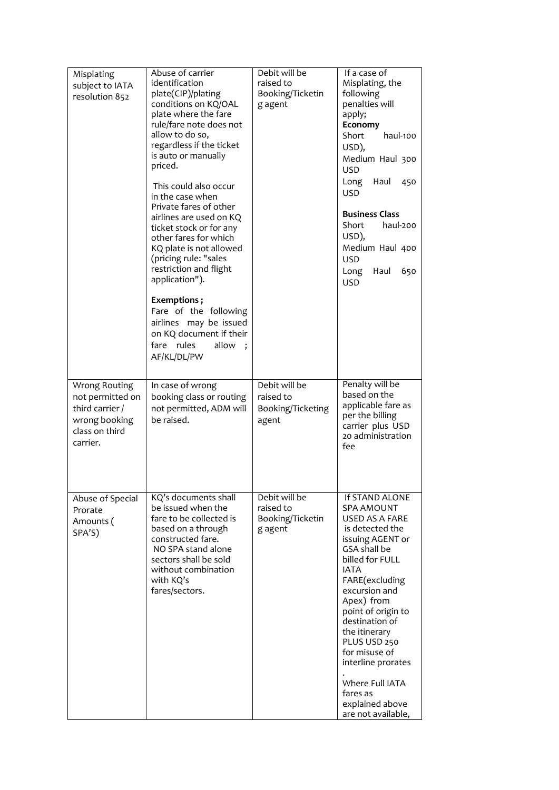| Misplating<br>subject to IATA<br>resolution 852                                                     | Abuse of carrier<br>identification<br>plate(CIP)/plating<br>conditions on KQ/OAL<br>plate where the fare<br>rule/fare note does not<br>allow to do so,<br>regardless if the ticket<br>is auto or manually<br>priced.<br>This could also occur<br>in the case when<br>Private fares of other<br>airlines are used on KQ<br>ticket stock or for any<br>other fares for which<br>KQ plate is not allowed<br>(pricing rule: "sales<br>restriction and flight<br>application").<br>Exemptions;<br>Fare of the following<br>airlines may be issued<br>on KQ document if their<br>fare rules<br>allow<br>AF/KL/DL/PW | Debit will be<br>raised to<br>Booking/Ticketin<br>g agent | If a case of<br>Misplating, the<br>following<br>penalties will<br>apply;<br>Economy<br>haul-100<br>Short<br>USD),<br>Medium Haul 300<br><b>USD</b><br>Long Haul<br>450<br><b>USD</b><br><b>Business Class</b><br>Short<br>haul-200<br>USD),<br>Medium Haul 400<br><b>USD</b><br>Long<br>Haul<br>650<br><b>USD</b>                                                                       |
|-----------------------------------------------------------------------------------------------------|---------------------------------------------------------------------------------------------------------------------------------------------------------------------------------------------------------------------------------------------------------------------------------------------------------------------------------------------------------------------------------------------------------------------------------------------------------------------------------------------------------------------------------------------------------------------------------------------------------------|-----------------------------------------------------------|-----------------------------------------------------------------------------------------------------------------------------------------------------------------------------------------------------------------------------------------------------------------------------------------------------------------------------------------------------------------------------------------|
| Wrong Routing<br>not permitted on<br>third carrier /<br>wrong booking<br>class on third<br>carrier. | In case of wrong<br>booking class or routing<br>not permitted, ADM will<br>be raised.                                                                                                                                                                                                                                                                                                                                                                                                                                                                                                                         | Debit will be<br>raised to<br>Booking/Ticketing<br>agent  | Penalty will be<br>based on the<br>applicable fare as<br>per the billing<br>carrier plus USD<br>20 administration<br>fee                                                                                                                                                                                                                                                                |
| Abuse of Special<br>Prorate<br>Amounts (<br>SPA'S)                                                  | KQ's documents shall<br>be issued when the<br>fare to be collected is<br>based on a through<br>constructed fare.<br>NO SPA stand alone<br>sectors shall be sold<br>without combination<br>with KQ's<br>fares/sectors.                                                                                                                                                                                                                                                                                                                                                                                         | Debit will be<br>raised to<br>Booking/Ticketin<br>g agent | If STAND ALONE<br><b>SPA AMOUNT</b><br>USED AS A FARE<br>is detected the<br>issuing AGENT or<br>GSA shall be<br>billed for FULL<br><b>IATA</b><br>FARE(excluding<br>excursion and<br>Apex) from<br>point of origin to<br>destination of<br>the itinerary<br>PLUS USD 250<br>for misuse of<br>interline prorates<br>Where Full IATA<br>fares as<br>explained above<br>are not available, |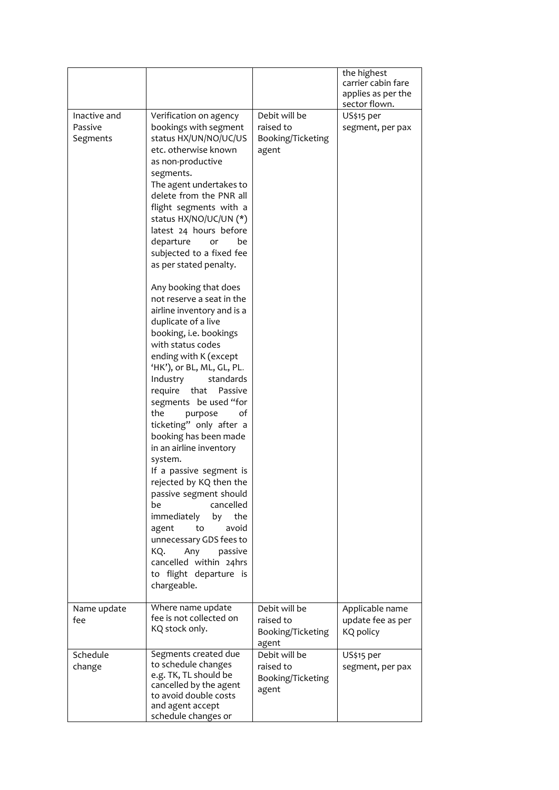|                                     |                                                                                                                                                                                                                                                                                                                                                                                                                                                                                                                                                                                                                                                                                                                                                                                                                                                                                                                                                                                                                                                    |                                                          | the highest<br>carrier cabin fare<br>applies as per the<br>sector flown. |
|-------------------------------------|----------------------------------------------------------------------------------------------------------------------------------------------------------------------------------------------------------------------------------------------------------------------------------------------------------------------------------------------------------------------------------------------------------------------------------------------------------------------------------------------------------------------------------------------------------------------------------------------------------------------------------------------------------------------------------------------------------------------------------------------------------------------------------------------------------------------------------------------------------------------------------------------------------------------------------------------------------------------------------------------------------------------------------------------------|----------------------------------------------------------|--------------------------------------------------------------------------|
| Inactive and<br>Passive<br>Segments | Verification on agency<br>bookings with segment<br>status HX/UN/NO/UC/US<br>etc. otherwise known<br>as non-productive<br>segments.<br>The agent undertakes to<br>delete from the PNR all<br>flight segments with a<br>status HX/NO/UC/UN (*)<br>latest 24 hours before<br>departure<br>be<br>or<br>subjected to a fixed fee<br>as per stated penalty.<br>Any booking that does<br>not reserve a seat in the<br>airline inventory and is a<br>duplicate of a live<br>booking, i.e. bookings<br>with status codes<br>ending with K (except<br>'HK'), or BL, ML, GL, PL.<br>Industry<br>standards<br>require that<br>Passive<br>segments be used "for<br>the<br>of<br>purpose<br>ticketing" only after a<br>booking has been made<br>in an airline inventory<br>system.<br>If a passive segment is<br>rejected by KQ then the<br>passive segment should<br>cancelled<br>be<br>immediately<br>the<br>by<br>avoid<br>agent<br>to<br>unnecessary GDS fees to<br>Any<br>KO.<br>passive<br>cancelled within 24hrs<br>to flight departure is<br>chargeable. | Debit will be<br>raised to<br>Booking/Ticketing<br>agent | US\$15 per<br>segment, per pax                                           |
| Name update<br>fee                  | Where name update<br>fee is not collected on<br>KQ stock only.                                                                                                                                                                                                                                                                                                                                                                                                                                                                                                                                                                                                                                                                                                                                                                                                                                                                                                                                                                                     | Debit will be<br>raised to<br>Booking/Ticketing<br>agent | Applicable name<br>update fee as per<br>KQ policy                        |
| Schedule<br>change                  | Segments created due<br>to schedule changes<br>e.g. TK, TL should be<br>cancelled by the agent<br>to avoid double costs<br>and agent accept<br>schedule changes or                                                                                                                                                                                                                                                                                                                                                                                                                                                                                                                                                                                                                                                                                                                                                                                                                                                                                 | Debit will be<br>raised to<br>Booking/Ticketing<br>agent | US\$15 per<br>segment, per pax                                           |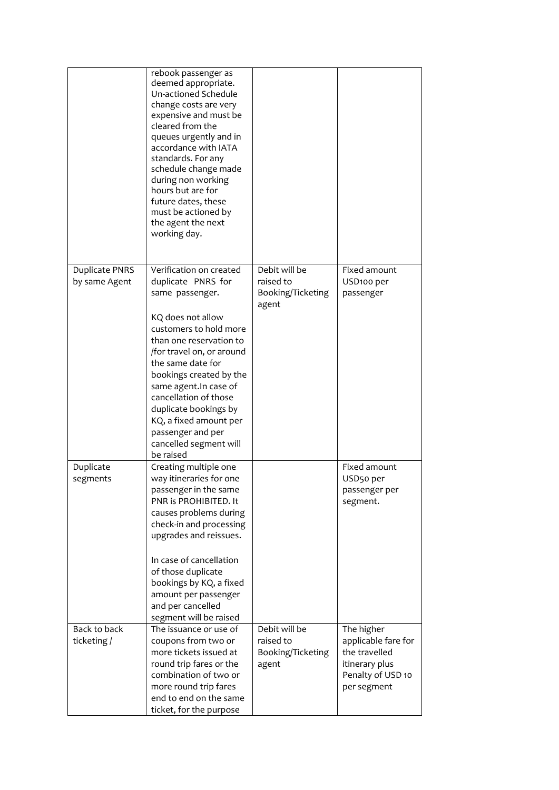|                                 | rebook passenger as<br>deemed appropriate.<br>Un-actioned Schedule<br>change costs are very<br>expensive and must be<br>cleared from the<br>queues urgently and in<br>accordance with IATA<br>standards. For any<br>schedule change made<br>during non working<br>hours but are for<br>future dates, these<br>must be actioned by<br>the agent the next<br>working day. |                            |                                     |
|---------------------------------|-------------------------------------------------------------------------------------------------------------------------------------------------------------------------------------------------------------------------------------------------------------------------------------------------------------------------------------------------------------------------|----------------------------|-------------------------------------|
| Duplicate PNRS<br>by same Agent | Verification on created<br>duplicate PNRS for                                                                                                                                                                                                                                                                                                                           | Debit will be<br>raised to | Fixed amount<br>USD100 per          |
|                                 | same passenger.                                                                                                                                                                                                                                                                                                                                                         | Booking/Ticketing<br>agent | passenger                           |
|                                 | KQ does not allow<br>customers to hold more<br>than one reservation to<br>/for travel on, or around                                                                                                                                                                                                                                                                     |                            |                                     |
|                                 | the same date for<br>bookings created by the                                                                                                                                                                                                                                                                                                                            |                            |                                     |
|                                 | same agent. In case of<br>cancellation of those                                                                                                                                                                                                                                                                                                                         |                            |                                     |
|                                 | duplicate bookings by<br>KQ, a fixed amount per                                                                                                                                                                                                                                                                                                                         |                            |                                     |
|                                 | passenger and per<br>cancelled segment will                                                                                                                                                                                                                                                                                                                             |                            |                                     |
|                                 | be raised                                                                                                                                                                                                                                                                                                                                                               |                            | Fixed amount                        |
| Duplicate<br>segments           | Creating multiple one<br>way itineraries for one                                                                                                                                                                                                                                                                                                                        |                            | USD50 per                           |
|                                 | passenger in the same                                                                                                                                                                                                                                                                                                                                                   |                            | passenger per                       |
|                                 | PNR is PROHIBITED. It<br>causes problems during                                                                                                                                                                                                                                                                                                                         |                            | segment.                            |
|                                 | check-in and processing                                                                                                                                                                                                                                                                                                                                                 |                            |                                     |
|                                 | upgrades and reissues.                                                                                                                                                                                                                                                                                                                                                  |                            |                                     |
|                                 | In case of cancellation                                                                                                                                                                                                                                                                                                                                                 |                            |                                     |
|                                 | of those duplicate                                                                                                                                                                                                                                                                                                                                                      |                            |                                     |
|                                 | bookings by KQ, a fixed                                                                                                                                                                                                                                                                                                                                                 |                            |                                     |
|                                 | amount per passenger<br>and per cancelled                                                                                                                                                                                                                                                                                                                               |                            |                                     |
|                                 | segment will be raised                                                                                                                                                                                                                                                                                                                                                  |                            |                                     |
| Back to back                    | The issuance or use of                                                                                                                                                                                                                                                                                                                                                  | Debit will be              | The higher                          |
| ticketing /                     | coupons from two or                                                                                                                                                                                                                                                                                                                                                     | raised to                  | applicable fare for                 |
|                                 | more tickets issued at                                                                                                                                                                                                                                                                                                                                                  | Booking/Ticketing          | the travelled                       |
|                                 | round trip fares or the<br>combination of two or                                                                                                                                                                                                                                                                                                                        | agent                      | itinerary plus<br>Penalty of USD 10 |
|                                 | more round trip fares                                                                                                                                                                                                                                                                                                                                                   |                            | per segment                         |
|                                 | end to end on the same                                                                                                                                                                                                                                                                                                                                                  |                            |                                     |
|                                 | ticket, for the purpose                                                                                                                                                                                                                                                                                                                                                 |                            |                                     |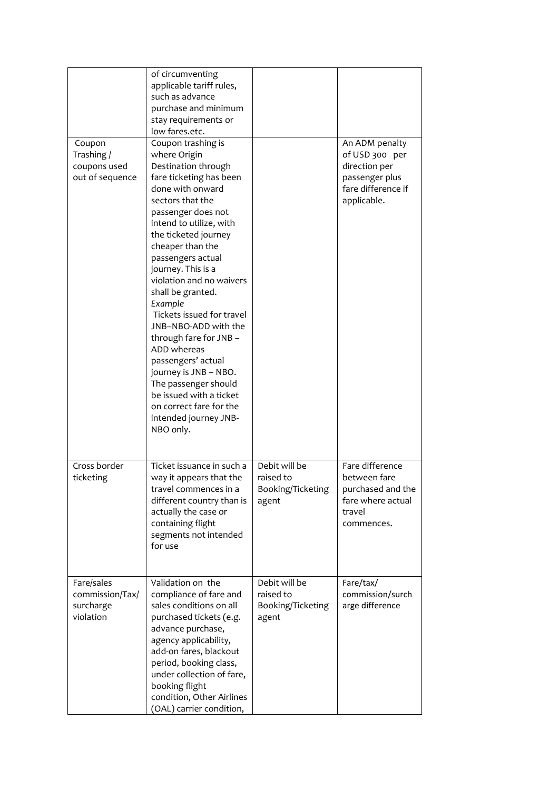|                                                         | of circumventing<br>applicable tariff rules,<br>such as advance<br>purchase and minimum<br>stay requirements or<br>low fares.etc.                                                                                                                                                                                                                                                                                                                                                                                                                                                                 |                                                          |                                                                                                          |
|---------------------------------------------------------|---------------------------------------------------------------------------------------------------------------------------------------------------------------------------------------------------------------------------------------------------------------------------------------------------------------------------------------------------------------------------------------------------------------------------------------------------------------------------------------------------------------------------------------------------------------------------------------------------|----------------------------------------------------------|----------------------------------------------------------------------------------------------------------|
| Coupon<br>Trashing /<br>coupons used<br>out of sequence | Coupon trashing is<br>where Origin<br>Destination through<br>fare ticketing has been<br>done with onward<br>sectors that the<br>passenger does not<br>intend to utilize, with<br>the ticketed journey<br>cheaper than the<br>passengers actual<br>journey. This is a<br>violation and no waivers<br>shall be granted.<br>Example<br>Tickets issued for travel<br>JNB-NBO-ADD with the<br>through fare for JNB -<br>ADD whereas<br>passengers' actual<br>journey is JNB - NBO.<br>The passenger should<br>be issued with a ticket<br>on correct fare for the<br>intended journey JNB-<br>NBO only. |                                                          | An ADM penalty<br>of USD 300 per<br>direction per<br>passenger plus<br>fare difference if<br>applicable. |
| Cross border<br>ticketing                               | Ticket issuance in such a<br>way it appears that the<br>travel commences in a<br>different country than is<br>actually the case or<br>containing flight<br>segments not intended<br>for use                                                                                                                                                                                                                                                                                                                                                                                                       | Debit will be<br>raised to<br>Booking/Ticketing<br>agent | Fare difference<br>between fare<br>purchased and the<br>fare where actual<br>travel<br>commences.        |
| Fare/sales<br>commission/Tax/<br>surcharge<br>violation | Validation on the<br>compliance of fare and<br>sales conditions on all<br>purchased tickets (e.g.<br>advance purchase,<br>agency applicability,<br>add-on fares, blackout<br>period, booking class,<br>under collection of fare,<br>booking flight<br>condition, Other Airlines<br>(OAL) carrier condition,                                                                                                                                                                                                                                                                                       | Debit will be<br>raised to<br>Booking/Ticketing<br>agent | Fare/tax/<br>commission/surch<br>arge difference                                                         |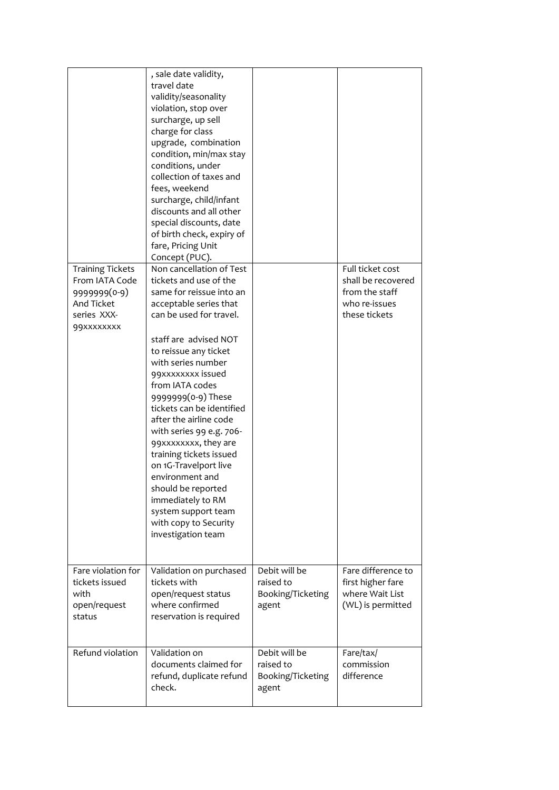|                                                                                                      | , sale date validity,<br>travel date<br>validity/seasonality<br>violation, stop over<br>surcharge, up sell<br>charge for class<br>upgrade, combination<br>condition, min/max stay<br>conditions, under<br>collection of taxes and<br>fees, weekend<br>surcharge, child/infant<br>discounts and all other<br>special discounts, date<br>of birth check, expiry of<br>fare, Pricing Unit<br>Concept (PUC).                                                                                                                                                                     |                                                          |                                                                                            |
|------------------------------------------------------------------------------------------------------|------------------------------------------------------------------------------------------------------------------------------------------------------------------------------------------------------------------------------------------------------------------------------------------------------------------------------------------------------------------------------------------------------------------------------------------------------------------------------------------------------------------------------------------------------------------------------|----------------------------------------------------------|--------------------------------------------------------------------------------------------|
| <b>Training Tickets</b><br>From IATA Code<br>9999999(0-9)<br>And Ticket<br>series XXX-<br>99xxxxxxxx | Non cancellation of Test<br>tickets and use of the<br>same for reissue into an<br>acceptable series that<br>can be used for travel.<br>staff are advised NOT<br>to reissue any ticket<br>with series number<br>99xxxxxxxx issued<br>from IATA codes<br>9999999(0-9) These<br>tickets can be identified<br>after the airline code<br>with series 99 e.g. 706-<br>99xxxxxxxx, they are<br>training tickets issued<br>on 1G-Travelport live<br>environment and<br>should be reported<br>immediately to RM<br>system support team<br>with copy to Security<br>investigation team |                                                          | Full ticket cost<br>shall be recovered<br>from the staff<br>who re-issues<br>these tickets |
| Fare violation for<br>tickets issued<br>with<br>open/request<br>status                               | Validation on purchased<br>tickets with<br>open/request status<br>where confirmed<br>reservation is required                                                                                                                                                                                                                                                                                                                                                                                                                                                                 | Debit will be<br>raised to<br>Booking/Ticketing<br>agent | Fare difference to<br>first higher fare<br>where Wait List<br>(WL) is permitted            |
| Refund violation                                                                                     | Validation on<br>documents claimed for<br>refund, duplicate refund<br>check.                                                                                                                                                                                                                                                                                                                                                                                                                                                                                                 | Debit will be<br>raised to<br>Booking/Ticketing<br>agent | Fare/tax/<br>commission<br>difference                                                      |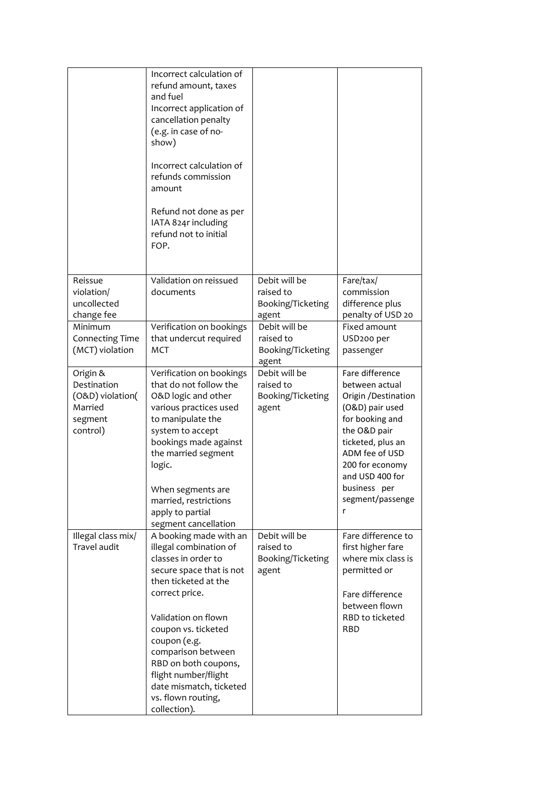|                                                                               | Incorrect calculation of<br>refund amount, taxes<br>and fuel<br>Incorrect application of<br>cancellation penalty<br>(e.g. in case of no-<br>show)<br>Incorrect calculation of<br>refunds commission<br>amount<br>Refund not done as per<br>IATA 824r including<br>refund not to initial<br>FOP.                                                    |                                                                   |                                                                                                                                                                                                                                       |
|-------------------------------------------------------------------------------|----------------------------------------------------------------------------------------------------------------------------------------------------------------------------------------------------------------------------------------------------------------------------------------------------------------------------------------------------|-------------------------------------------------------------------|---------------------------------------------------------------------------------------------------------------------------------------------------------------------------------------------------------------------------------------|
| Reissue<br>violation/<br>uncollected                                          | Validation on reissued<br>documents                                                                                                                                                                                                                                                                                                                | Debit will be<br>raised to<br>Booking/Ticketing                   | Fare/tax/<br>commission<br>difference plus                                                                                                                                                                                            |
| change fee<br>Minimum<br><b>Connecting Time</b><br>(MCT) violation            | Verification on bookings<br>that undercut required<br>MCT                                                                                                                                                                                                                                                                                          | agent<br>Debit will be<br>raised to<br>Booking/Ticketing<br>agent | penalty of USD 20<br>Fixed amount<br>USD <sub>200</sub> per<br>passenger                                                                                                                                                              |
| Origin &<br>Destination<br>(O&D) violation(<br>Married<br>segment<br>control) | Verification on bookings<br>that do not follow the<br>O&D logic and other<br>various practices used<br>to manipulate the<br>system to accept<br>bookings made against<br>the married segment<br>logic.<br>When segments are<br>married, restrictions<br>apply to partial<br>segment cancellation                                                   | Debit will be<br>raised to<br>Booking/Ticketing<br>agent          | Fare difference<br>between actual<br>Origin / Destination<br>(O&D) pair used<br>for booking and<br>the O&D pair<br>ticketed, plus an<br>ADM fee of USD<br>200 for economy<br>and USD 400 for<br>business per<br>segment/passenge<br>r |
| Illegal class mix/<br>Travel audit                                            | A booking made with an<br>illegal combination of<br>classes in order to<br>secure space that is not<br>then ticketed at the<br>correct price.<br>Validation on flown<br>coupon vs. ticketed<br>coupon (e.g.<br>comparison between<br>RBD on both coupons,<br>flight number/flight<br>date mismatch, ticketed<br>vs. flown routing,<br>collection). | Debit will be<br>raised to<br>Booking/Ticketing<br>agent          | Fare difference to<br>first higher fare<br>where mix class is<br>permitted or<br>Fare difference<br>between flown<br><b>RBD</b> to ticketed<br><b>RBD</b>                                                                             |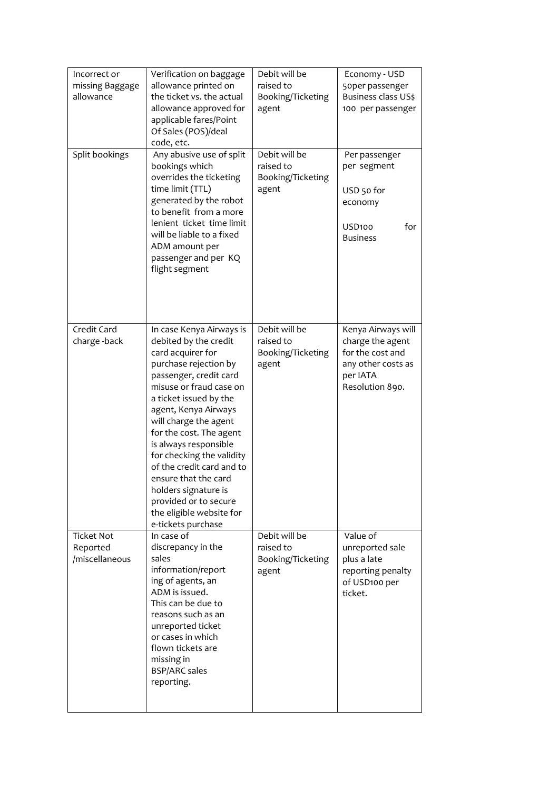| Incorrect or<br>missing Baggage<br>allowance    | Verification on baggage<br>allowance printed on<br>the ticket vs. the actual<br>allowance approved for<br>applicable fares/Point<br>Of Sales (POS)/deal<br>code, etc.                                                                                                                                                                                                                                                                                                    | Debit will be<br>raised to<br>Booking/Ticketing<br>agent | Economy - USD<br>50per passenger<br>Business class US\$<br>100 per passenger                                    |
|-------------------------------------------------|--------------------------------------------------------------------------------------------------------------------------------------------------------------------------------------------------------------------------------------------------------------------------------------------------------------------------------------------------------------------------------------------------------------------------------------------------------------------------|----------------------------------------------------------|-----------------------------------------------------------------------------------------------------------------|
| Split bookings                                  | Any abusive use of split<br>bookings which<br>overrides the ticketing<br>time limit (TTL)<br>generated by the robot<br>to benefit from a more<br>lenient ticket time limit<br>will be liable to a fixed<br>ADM amount per<br>passenger and per KQ<br>flight segment                                                                                                                                                                                                      | Debit will be<br>raised to<br>Booking/Ticketing<br>agent | Per passenger<br>per segment<br>USD 50 for<br>economy<br>for<br>USD100<br><b>Business</b>                       |
| Credit Card<br>charge-back                      | In case Kenya Airways is<br>debited by the credit<br>card acquirer for<br>purchase rejection by<br>passenger, credit card<br>misuse or fraud case on<br>a ticket issued by the<br>agent, Kenya Airways<br>will charge the agent<br>for the cost. The agent<br>is always responsible<br>for checking the validity<br>of the credit card and to<br>ensure that the card<br>holders signature is<br>provided or to secure<br>the eligible website for<br>e-tickets purchase | Debit will be<br>raised to<br>Booking/Ticketing<br>agent | Kenya Airways will<br>charge the agent<br>for the cost and<br>any other costs as<br>per IATA<br>Resolution 890. |
| <b>Ticket Not</b><br>Reported<br>/miscellaneous | In case of<br>discrepancy in the<br>sales<br>information/report<br>ing of agents, an<br>ADM is issued.<br>This can be due to<br>reasons such as an<br>unreported ticket<br>or cases in which<br>flown tickets are<br>missing in<br><b>BSP/ARC sales</b><br>reporting.                                                                                                                                                                                                    | Debit will be<br>raised to<br>Booking/Ticketing<br>agent | Value of<br>unreported sale<br>plus a late<br>reporting penalty<br>of USD100 per<br>ticket.                     |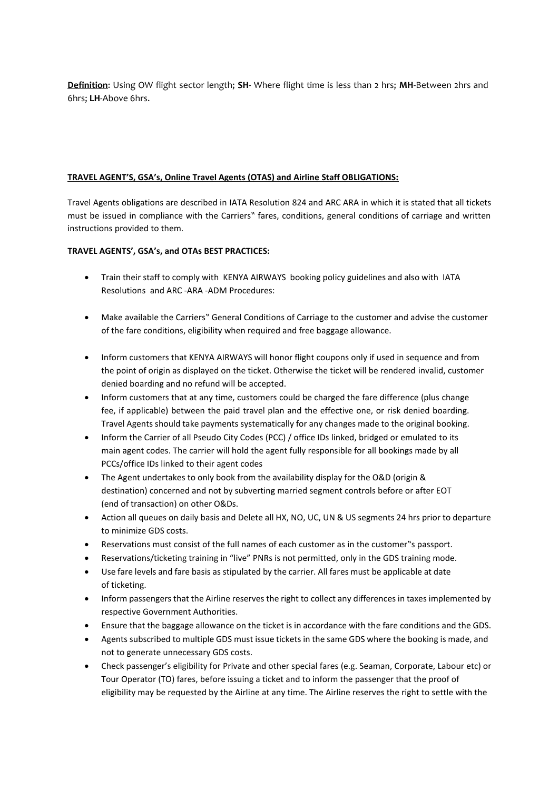**Definition**: Using OW flight sector length; **SH**- Where flight time is less than 2 hrs; **MH**-Between 2hrs and 6hrs; **LH**-Above 6hrs.

### **TRAVEL AGENT'S, GSA's, Online Travel Agents (OTAS) and Airline Staff OBLIGATIONS:**

Travel Agents obligations are described in IATA Resolution 824 and ARC ARA in which it is stated that all tickets must be issued in compliance with the Carriers" fares, conditions, general conditions of carriage and written instructions provided to them.

### **TRAVEL AGENTS', GSA's, and OTAs BEST PRACTICES:**

- Train their staff to comply with KENYA AIRWAYS booking policy guidelines and also with IATA Resolutions and ARC -ARA -ADM Procedures:
- Make available the Carriers" General Conditions of Carriage to the customer and advise the customer of the fare conditions, eligibility when required and free baggage allowance.
- Inform customers that KENYA AIRWAYS will honor flight coupons only if used in sequence and from the point of origin as displayed on the ticket. Otherwise the ticket will be rendered invalid, customer denied boarding and no refund will be accepted.
- Inform customers that at any time, customers could be charged the fare difference (plus change fee, if applicable) between the paid travel plan and the effective one, or risk denied boarding. Travel Agents should take payments systematically for any changes made to the original booking.
- Inform the Carrier of all Pseudo City Codes (PCC) / office IDs linked, bridged or emulated to its main agent codes. The carrier will hold the agent fully responsible for all bookings made by all PCCs/office IDs linked to their agent codes
- The Agent undertakes to only book from the availability display for the O&D (origin & destination) concerned and not by subverting married segment controls before or after EOT (end of transaction) on other O&Ds.
- Action all queues on daily basis and Delete all HX, NO, UC, UN & US segments 24 hrs prior to departure to minimize GDS costs.
- Reservations must consist of the full names of each customer as in the customer"s passport.
- Reservations/ticketing training in "live" PNRs is not permitted, only in the GDS training mode.
- Use fare levels and fare basis as stipulated by the carrier. All fares must be applicable at date of ticketing.
- Inform passengers that the Airline reserves the right to collect any differences in taxes implemented by respective Government Authorities.
- Ensure that the baggage allowance on the ticket is in accordance with the fare conditions and the GDS.
- Agents subscribed to multiple GDS must issue tickets in the same GDS where the booking is made, and not to generate unnecessary GDS costs.
- Check passenger's eligibility for Private and other special fares (e.g. Seaman, Corporate, Labour etc) or Tour Operator (TO) fares, before issuing a ticket and to inform the passenger that the proof of eligibility may be requested by the Airline at any time. The Airline reserves the right to settle with the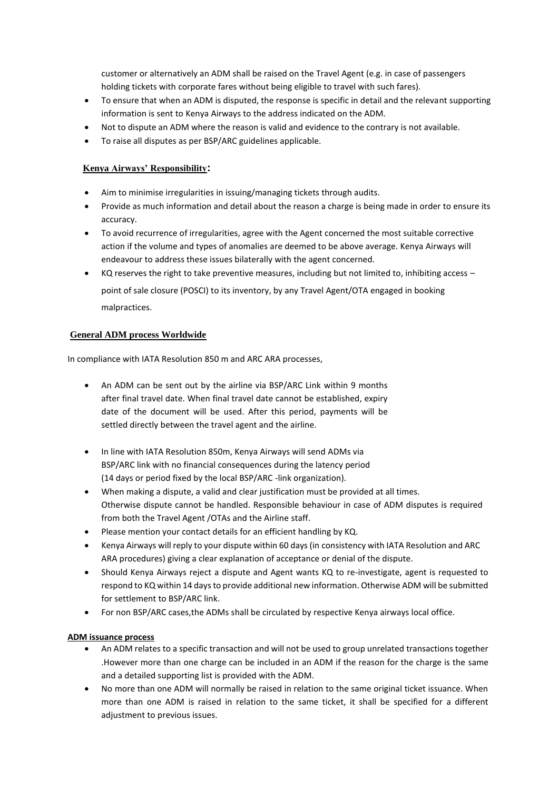customer or alternatively an ADM shall be raised on the Travel Agent (e.g. in case of passengers holding tickets with corporate fares without being eligible to travel with such fares).

- To ensure that when an ADM is disputed, the response is specific in detail and the relevant supporting information is sent to Kenya Airways to the address indicated on the ADM.
- Not to dispute an ADM where the reason is valid and evidence to the contrary is not available.
- To raise all disputes as per BSP/ARC guidelines applicable.

# **Kenya Airways' Responsibility:**

- Aim to minimise irregularities in issuing/managing tickets through audits.
- Provide as much information and detail about the reason a charge is being made in order to ensure its accuracy.
- To avoid recurrence of irregularities, agree with the Agent concerned the most suitable corrective action if the volume and types of anomalies are deemed to be above average. Kenya Airways will endeavour to address these issues bilaterally with the agent concerned.
- KQ reserves the right to take preventive measures, including but not limited to, inhibiting access point of sale closure (POSCI) to its inventory, by any Travel Agent/OTA engaged in booking malpractices.

# **General ADM process Worldwide**

In compliance with IATA Resolution 850 m and ARC ARA processes,

- An ADM can be sent out by the airline via BSP/ARC Link within 9 months after final travel date. When final travel date cannot be established, expiry date of the document will be used. After this period, payments will be settled directly between the travel agent and the airline.
- In line with IATA Resolution 850m, Kenya Airways will send ADMs via BSP/ARC link with no financial consequences during the latency period (14 days or period fixed by the local BSP/ARC -link organization).
- When making a dispute, a valid and clear justification must be provided at all times. Otherwise dispute cannot be handled. Responsible behaviour in case of ADM disputes is required from both the Travel Agent /OTAs and the Airline staff.
- Please mention your contact details for an efficient handling by KQ.
- Kenya Airways will reply to your dispute within 60 days (in consistency with IATA Resolution and ARC ARA procedures) giving a clear explanation of acceptance or denial of the dispute.
- Should Kenya Airways reject a dispute and Agent wants KQ to re-investigate, agent is requested to respond to KQ within 14 days to provide additional new information. Otherwise ADM will be submitted for settlement to BSP/ARC link.
- For non BSP/ARC cases,the ADMs shall be circulated by respective Kenya airways local office.

# **ADM issuance process**

- An ADM relates to a specific transaction and will not be used to group unrelated transactions together .However more than one charge can be included in an ADM if the reason for the charge is the same and a detailed supporting list is provided with the ADM.
- No more than one ADM will normally be raised in relation to the same original ticket issuance. When more than one ADM is raised in relation to the same ticket, it shall be specified for a different adjustment to previous issues.